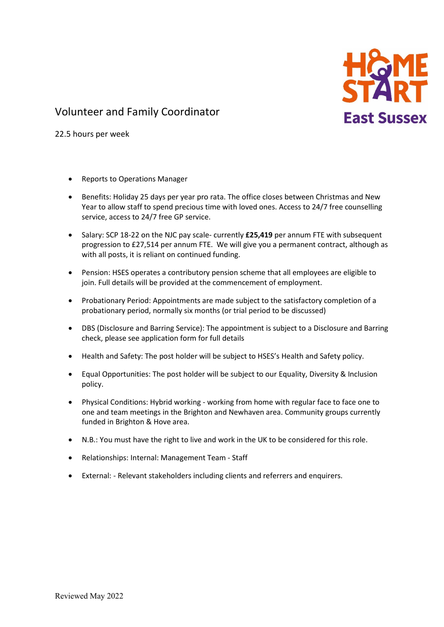

# Volunteer and Family Coordinator

22.5 hours per week

- Reports to Operations Manager
- Benefits: Holiday 25 days per year pro rata. The office closes between Christmas and New Year to allow staff to spend precious time with loved ones. Access to 24/7 free counselling service, access to 24/7 free GP service.
- Salary: SCP 18-22 on the NJC pay scale- currently **£25,419** per annum FTE with subsequent progression to £27,514 per annum FTE. We will give you a permanent contract, although as with all posts, it is reliant on continued funding.
- Pension: HSES operates a contributory pension scheme that all employees are eligible to join. Full details will be provided at the commencement of employment.
- Probationary Period: Appointments are made subject to the satisfactory completion of a probationary period, normally six months (or trial period to be discussed)
- DBS (Disclosure and Barring Service): The appointment is subject to a Disclosure and Barring check, please see application form for full details
- Health and Safety: The post holder will be subject to HSES's Health and Safety policy.
- Equal Opportunities: The post holder will be subject to our Equality, Diversity & Inclusion policy.
- Physical Conditions: Hybrid working working from home with regular face to face one to one and team meetings in the Brighton and Newhaven area. Community groups currently funded in Brighton & Hove area.
- N.B.: You must have the right to live and work in the UK to be considered for this role.
- Relationships: Internal: Management Team Staff
- External: Relevant stakeholders including clients and referrers and enquirers.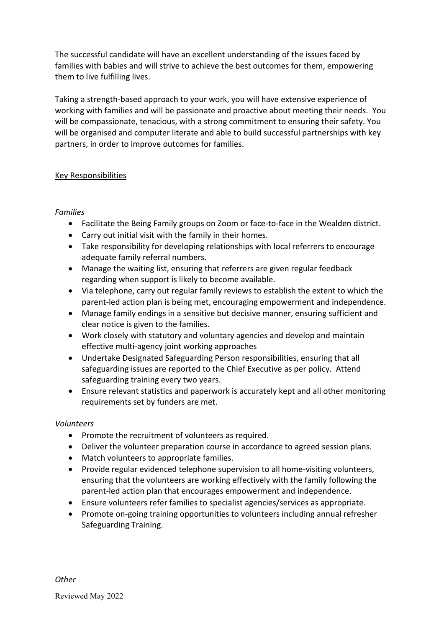The successful candidate will have an excellent understanding of the issues faced by families with babies and will strive to achieve the best outcomes for them, empowering them to live fulfilling lives.

Taking a strength-based approach to your work, you will have extensive experience of working with families and will be passionate and proactive about meeting their needs. You will be compassionate, tenacious, with a strong commitment to ensuring their safety. You will be organised and computer literate and able to build successful partnerships with key partners, in order to improve outcomes for families.

### Key Responsibilities

### *Families*

- Facilitate the Being Family groups on Zoom or face-to-face in the Wealden district.
- Carry out initial visit with the family in their homes.
- Take responsibility for developing relationships with local referrers to encourage adequate family referral numbers.
- Manage the waiting list, ensuring that referrers are given regular feedback regarding when support is likely to become available.
- Via telephone, carry out regular family reviews to establish the extent to which the parent-led action plan is being met, encouraging empowerment and independence.
- Manage family endings in a sensitive but decisive manner, ensuring sufficient and clear notice is given to the families.
- Work closely with statutory and voluntary agencies and develop and maintain effective multi-agency joint working approaches
- Undertake Designated Safeguarding Person responsibilities, ensuring that all safeguarding issues are reported to the Chief Executive as per policy. Attend safeguarding training every two years.
- Ensure relevant statistics and paperwork is accurately kept and all other monitoring requirements set by funders are met.

## *Volunteers*

- Promote the recruitment of volunteers as required.
- Deliver the volunteer preparation course in accordance to agreed session plans.
- Match volunteers to appropriate families.
- Provide regular evidenced telephone supervision to all home-visiting volunteers, ensuring that the volunteers are working effectively with the family following the parent-led action plan that encourages empowerment and independence.
- Ensure volunteers refer families to specialist agencies/services as appropriate.
- Promote on-going training opportunities to volunteers including annual refresher Safeguarding Training.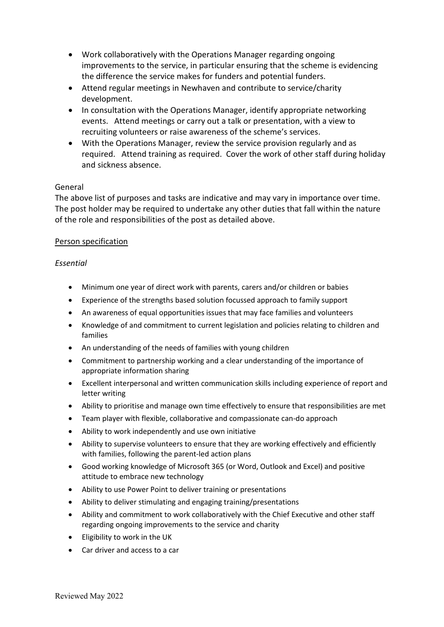- Work collaboratively with the Operations Manager regarding ongoing improvements to the service, in particular ensuring that the scheme is evidencing the difference the service makes for funders and potential funders.
- Attend regular meetings in Newhaven and contribute to service/charity development.
- In consultation with the Operations Manager, identify appropriate networking events. Attend meetings or carry out a talk or presentation, with a view to recruiting volunteers or raise awareness of the scheme's services.
- With the Operations Manager, review the service provision regularly and as required. Attend training as required. Cover the work of other staff during holiday and sickness absence.

#### General

The above list of purposes and tasks are indicative and may vary in importance over time. The post holder may be required to undertake any other duties that fall within the nature of the role and responsibilities of the post as detailed above.

#### Person specification

#### *Essential*

- Minimum one year of direct work with parents, carers and/or children or babies
- Experience of the strengths based solution focussed approach to family support
- An awareness of equal opportunities issues that may face families and volunteers
- Knowledge of and commitment to current legislation and policies relating to children and families
- An understanding of the needs of families with young children
- Commitment to partnership working and a clear understanding of the importance of appropriate information sharing
- Excellent interpersonal and written communication skills including experience of report and letter writing
- Ability to prioritise and manage own time effectively to ensure that responsibilities are met
- Team player with flexible, collaborative and compassionate can-do approach
- Ability to work independently and use own initiative
- Ability to supervise volunteers to ensure that they are working effectively and efficiently with families, following the parent-led action plans
- Good working knowledge of Microsoft 365 (or Word, Outlook and Excel) and positive attitude to embrace new technology
- Ability to use Power Point to deliver training or presentations
- Ability to deliver stimulating and engaging training/presentations
- Ability and commitment to work collaboratively with the Chief Executive and other staff regarding ongoing improvements to the service and charity
- Eligibility to work in the UK
- Car driver and access to a car